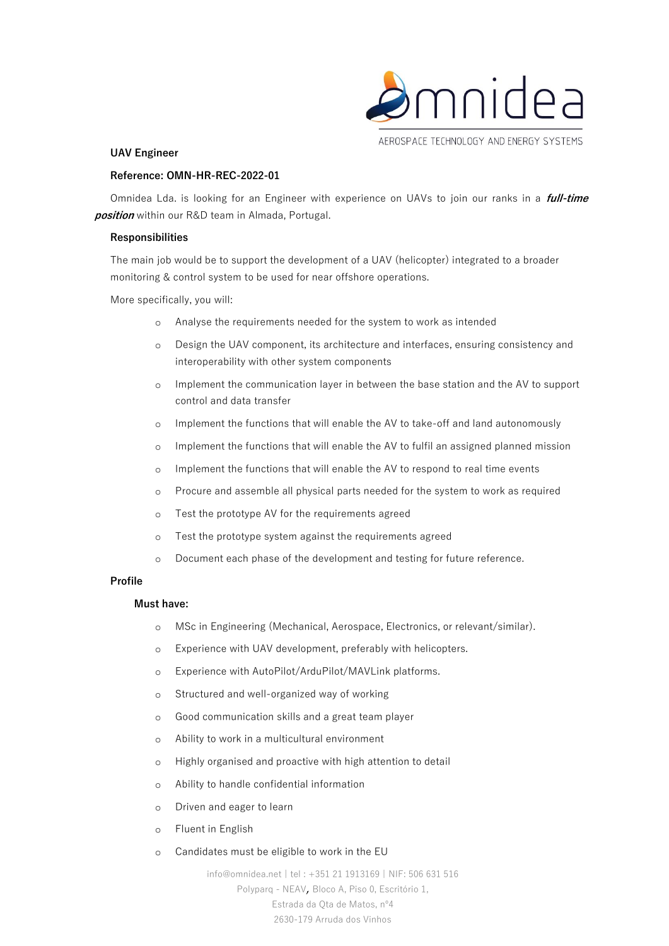

AEROSPACE TECHNOLOGY AND ENERGY SYSTEMS

# **UAV Engineer**

# **Reference: OMN-HR-REC-2022-01**

Omnidea Lda. is looking for an Engineer with experience on UAVs to join our ranks in a **full-time position** within our R&D team in Almada, Portugal.

#### **Responsibilities**

The main job would be to support the development of a UAV (helicopter) integrated to a broader monitoring & control system to be used for near offshore operations.

More specifically, you will:

- o Analyse the requirements needed for the system to work as intended
- o Design the UAV component, its architecture and interfaces, ensuring consistency and interoperability with other system components
- o Implement the communication layer in between the base station and the AV to support control and data transfer
- o Implement the functions that will enable the AV to take-off and land autonomously
- o Implement the functions that will enable the AV to fulfil an assigned planned mission
- o Implement the functions that will enable the AV to respond to real time events
- o Procure and assemble all physical parts needed for the system to work as required
- o Test the prototype AV for the requirements agreed
- o Test the prototype system against the requirements agreed
- o Document each phase of the development and testing for future reference.

# **Profile**

#### **Must have:**

- o MSc in Engineering (Mechanical, Aerospace, Electronics, or relevant/similar).
- o Experience with UAV development, preferably with helicopters.
- o Experience with AutoPilot/ArduPilot/MAVLink platforms.
- o Structured and well-organized way of working
- o Good communication skills and a great team player
- o Ability to work in a multicultural environment
- o Highly organised and proactive with high attention to detail
- o Ability to handle confidential information
- o Driven and eager to learn
- o Fluent in English
- o Candidates must be eligible to work in the EU

[info@omnidea.net](mailto:info@omnidea.net) | tel : +351 21 1913169 | NIF: 506 631 516 Polyparq - NEAV, Bloco A, Piso 0, Escritório 1, Estrada da Qta de Matos, nº4 2630-179 Arruda dos Vinhos